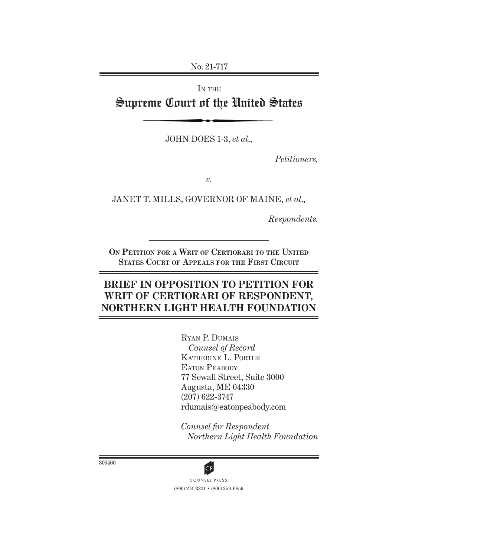No. 21-717

IN THE Supreme Court of the United States

JOHN DOES 1-3, *et al*.,

*Petitioners,*

*v.*

JANET T. MILLS, GOVERNOR OF MAINE, *et al*.,

*Respondents.*

**On Petition for a Writ of Certiorari to the United States Court of Appeals for the First Circuit**

# **BRIEF IN OPPOSITION TO PETITION FOR WRIT OF CERTIORARI OF RESPONDENT, NORTHERN LIGHT HEALTH FOUNDATION**

Ryan P. Dumais *Counsel of Record* Katherine L. Porter EATON PEABODY 77 Sewall Street, Suite 3000 Augusta, ME 04330 (207) 622-3747 rdumais@eatonpeabody.com

*Counsel for Respondent Northern Light Health Foundation*

309460



(800) 274-3321 • (800) 359-6859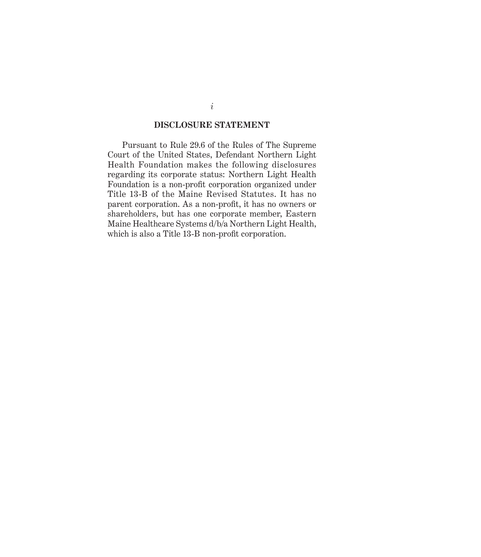### **DISCLOSURE STATEMENT**

Pursuant to Rule 29.6 of the Rules of The Supreme Court of the United States, Defendant Northern Light Health Foundation makes the following disclosures regarding its corporate status: Northern Light Health Foundation is a non-profit corporation organized under Title 13-B of the Maine Revised Statutes. It has no parent corporation. As a non-profit, it has no owners or shareholders, but has one corporate member, Eastern Maine Healthcare Systems d/b/a Northern Light Health, which is also a Title 13-B non-profit corporation.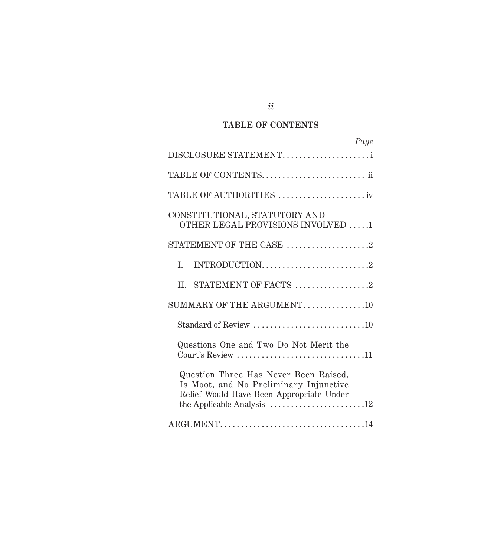# **TABLE OF CONTENTS**

| Page                                                                                                                                                                                                                    |
|-------------------------------------------------------------------------------------------------------------------------------------------------------------------------------------------------------------------------|
| DISCLOSURE STATEMENT                                                                                                                                                                                                    |
| TABLE OF CONTENTS ii                                                                                                                                                                                                    |
| TABLE OF AUTHORITIES iv                                                                                                                                                                                                 |
| CONSTITUTIONAL, STATUTORY AND<br>OTHER LEGAL PROVISIONS INVOLVED 1                                                                                                                                                      |
| STATEMENT OF THE CASE 2                                                                                                                                                                                                 |
| INTRODUCTION2<br>I.                                                                                                                                                                                                     |
| II. STATEMENT OF FACTS 2                                                                                                                                                                                                |
| SUMMARY OF THE ARGUMENT10                                                                                                                                                                                               |
| Standard of Review 10                                                                                                                                                                                                   |
| Questions One and Two Do Not Merit the<br>Court's Review $\dots\dots\dots\dots\dots\dots\dots\dots\dots\dots\dots11$                                                                                                    |
| Question Three Has Never Been Raised,<br>Is Moot, and No Preliminary Injunctive<br>Relief Would Have Been Appropriate Under<br>the Applicable Analysis $\dots \dots \dots \dots \dots \dots \dots \dots \dots \dots 12$ |
| ARGUMENT14                                                                                                                                                                                                              |

# *ii*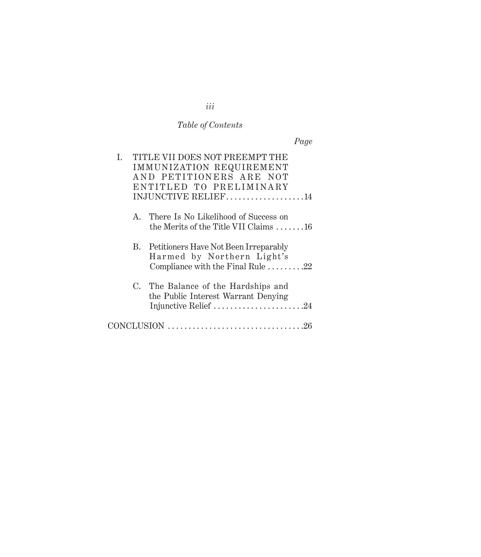# *Table of Contents*

| L. | TITLE VII DOES NOT PREEMPT THE<br>IMMUNIZATION REQUIREMENT<br>AND PETITIONERS ARE NOT<br>ENTITLED TO PRELIMINARY<br>INJUNCTIVE RELIEF14 |
|----|-----------------------------------------------------------------------------------------------------------------------------------------|
|    | A. There Is No Likelihood of Success on<br>the Merits of the Title VII Claims 16                                                        |
|    | B. Petitioners Have Not Been Irreparably<br>Harmed by Northern Light's<br>Compliance with the Final Rule 22                             |
|    | C. The Balance of the Hardships and<br>the Public Interest Warrant Denying<br>Injunctive Relief 24                                      |
|    |                                                                                                                                         |

# *iii*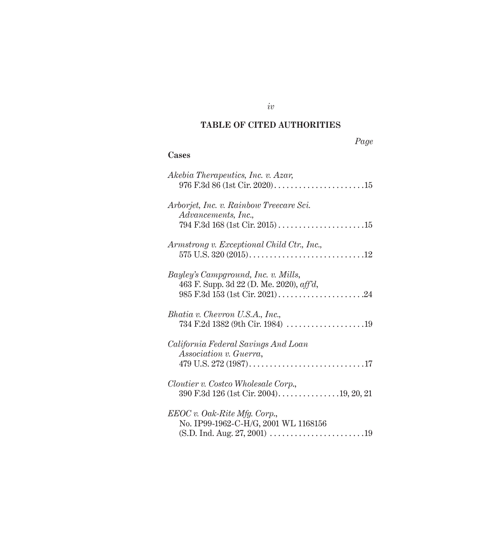# **TABLE OF CITED AUTHORITIES**

# **Cases**

| Akebia Therapeutics, Inc. v. Azar,                                                                     |
|--------------------------------------------------------------------------------------------------------|
| Arborjet, Inc. v. Rainbow Treecare Sci.<br>Advancements, Inc.,                                         |
| Armstrong v. Exceptional Child Ctr., Inc.,                                                             |
| Bayley's Campground, Inc. v. Mills,<br>463 F. Supp. 3d 22 (D. Me. 2020), aff'd,                        |
| Bhatia v. Chevron U.S.A., Inc.,                                                                        |
| California Federal Savings And Loan<br>Association v. Guerra,                                          |
| Cloutier v. Costco Wholesale Corp.,<br>390 F.3d 126 (1st Cir. 2004)19, 20, 21                          |
| $EEOC v. Oak-Rite Mfg. Corp.,$<br>No. IP99-1962-C-H/G, 2001 WL 1168156<br>(S.D. Ind. Aug. 27, 2001) 19 |

*iv*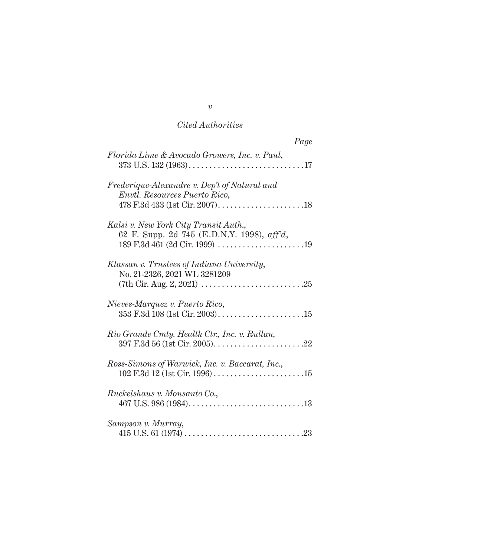# *Cited Authorities*

| Page                                                                                |
|-------------------------------------------------------------------------------------|
| Florida Lime & Avocado Growers, Inc. v. Paul,                                       |
| Frederique-Alexandre v. Dep't of Natural and<br>Envtl. Resources Puerto Rico,       |
| Kalsi v. New York City Transit Auth.,<br>62 F. Supp. 2d 745 (E.D.N.Y. 1998), aff'd, |
| Klassan v. Trustees of Indiana University,<br>No. 21-2326, 2021 WL 3281209          |
| Nieves-Marquez v. Puerto Rico,                                                      |
| Rio Grande Cmty. Health Ctr., Inc. v. Rullan,                                       |
| Ross-Simons of Warwick, Inc. v. Baccarat, Inc.,                                     |
| Ruckelshaus v. Monsanto Co.,                                                        |
| Sampson v. Murray,                                                                  |

*v*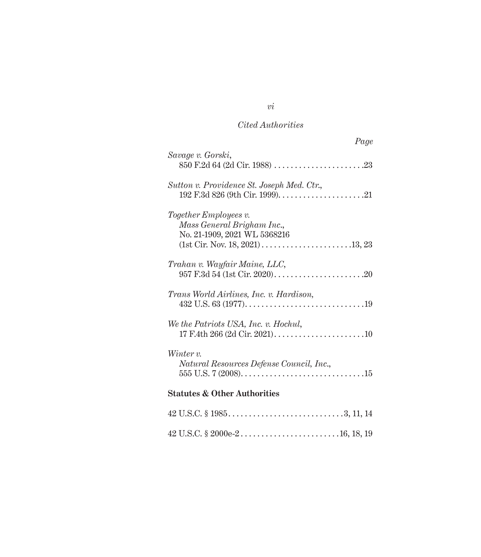# *Cited Authorities*

| Page                                                                                |
|-------------------------------------------------------------------------------------|
| Savage v. Gorski,                                                                   |
| Sutton v. Providence St. Joseph Med. Ctr.,                                          |
| Together Employees v.<br>Mass General Brigham Inc.,<br>No. 21-1909, 2021 WL 5368216 |
| Trahan v. Wayfair Maine, LLC,                                                       |
| Trans World Airlines, Inc. v. Hardison,                                             |
| We the Patriots USA, Inc. v. Hochul,                                                |
| Winter v.<br>Natural Resources Defense Council, Inc.,                               |
| <b>Statutes &amp; Other Authorities</b>                                             |
|                                                                                     |
|                                                                                     |

*vi*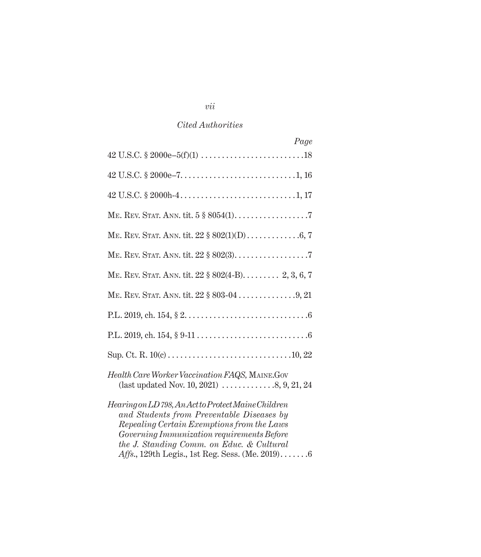## *Cited Authorities*

| Page                                                                                                                                                                                                                                             |
|--------------------------------------------------------------------------------------------------------------------------------------------------------------------------------------------------------------------------------------------------|
|                                                                                                                                                                                                                                                  |
|                                                                                                                                                                                                                                                  |
|                                                                                                                                                                                                                                                  |
|                                                                                                                                                                                                                                                  |
|                                                                                                                                                                                                                                                  |
|                                                                                                                                                                                                                                                  |
| ME. REV. STAT. ANN. tit. 22 § 802(4-B) 2, 3, 6, 7                                                                                                                                                                                                |
|                                                                                                                                                                                                                                                  |
|                                                                                                                                                                                                                                                  |
|                                                                                                                                                                                                                                                  |
|                                                                                                                                                                                                                                                  |
| Health Care Worker Vaccination FAQS, MAINE.Gov<br>(last updated Nov. 10, 2021) $\ldots \ldots \ldots \ldots \ldots 8, 9, 21, 24$                                                                                                                 |
| Hearing on LD 798, An Act to Protect Maine Children<br>and Students from Preventable Diseases by<br>Repealing Certain Exemptions from the Laws<br><i>Governing Immunization requirements Before</i><br>the J. Standing Comm. on Educ. & Cultural |

*vii*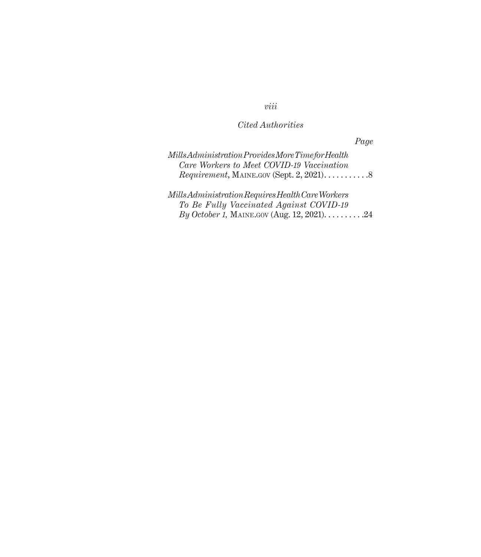# *viii*

# *Cited Authorities*

*Page*

| Mills Administration Provides More Time for Health |  |
|----------------------------------------------------|--|
| Care Workers to Meet COVID-19 Vaccination          |  |
|                                                    |  |

*Mills Administration Requires Health Care Workers To Be Fully Vaccinated Against COVID-19 By October 1, MAINE.GOV (Aug. 12, 2021).* . . . . . . . . . *2*4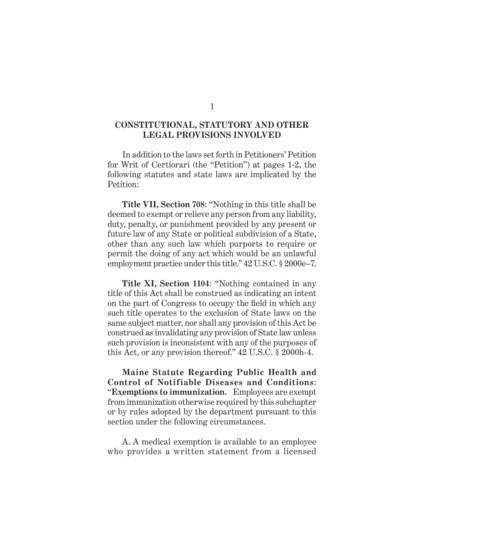### **CONSTITUTIONAL, STATUTORY AND OTHER LEGAL PROVISIONS INVOLVED**

In addition to the laws set forth in Petitioners' Petition for Writ of Certiorari (the "Petition") at pages 1-2, the following statutes and state laws are implicated by the Petition:

**Title VII, Section 708**: "Nothing in this title shall be deemed to exempt or relieve any person from any liability, duty, penalty, or punishment provided by any present or future law of any State or political subdivision of a State, other than any such law which purports to require or permit the doing of any act which would be an unlawful employment practice under this title." 42 U.S.C. § 2000e–7.

**Title XI, Section 1104**: "Nothing contained in any title of this Act shall be construed as indicating an intent on the part of Congress to occupy the field in which any such title operates to the exclusion of State laws on the same subject matter, nor shall any provision of this Act be construed as invalidating any provision of State law unless such provision is inconsistent with any of the purposes of this Act, or any provision thereof." 42 U.S.C. § 2000h-4.

**Maine Statute Regarding Public Health and Control of Notifiable Diseases and Conditions**: "**Exemptions to immunization.** Employees are exempt from immunization otherwise required by this subchapter or by rules adopted by the department pursuant to this section under the following circumstances.

A. A medical exemption is available to an employee who provides a written statement from a licensed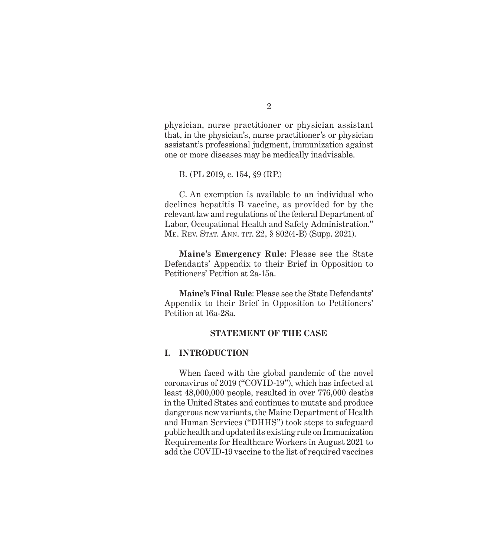physician, nurse practitioner or physician assistant that, in the physician's, nurse practitioner's or physician assistant's professional judgment, immunization against one or more diseases may be medically inadvisable.

B. (PL 2019, c. 154, §9 (RP.)

C. An exemption is available to an individual who declines hepatitis B vaccine, as provided for by the relevant law and regulations of the federal Department of Labor, Occupational Health and Safety Administration." ME. REV. STAT. ANN. TIT. 22, § 802(4-B) (Supp. 2021).

**Maine's Emergency Rule**: Please see the State Defendants' Appendix to their Brief in Opposition to Petitioners' Petition at 2a-15a.

**Maine's Final Rule**: Please see the State Defendants' Appendix to their Brief in Opposition to Petitioners' Petition at 16a-28a.

#### **STATEMENT OF THE CASE**

#### **I. INTRODUCTION**

When faced with the global pandemic of the novel coronavirus of 2019 ("COVID-19"), which has infected at least 48,000,000 people, resulted in over 776,000 deaths in the United States and continues to mutate and produce dangerous new variants, the Maine Department of Health and Human Services ("DHHS") took steps to safeguard public health and updated its existing rule on Immunization Requirements for Healthcare Workers in August 2021 to add the COVID-19 vaccine to the list of required vaccines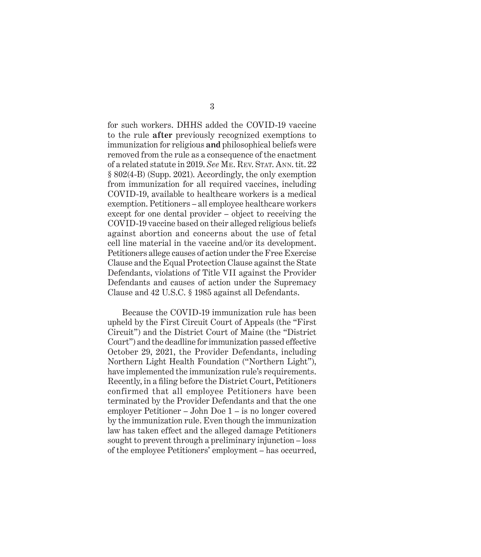for such workers. DHHS added the COVID-19 vaccine to the rule **after** previously recognized exemptions to immunization for religious **and** philosophical beliefs were removed from the rule as a consequence of the enactment of a related statute in 2019. *See* Me. Rev. Stat. Ann. tit. 22 § 802(4-B) (Supp. 2021). Accordingly, the only exemption from immunization for all required vaccines, including COVID-19, available to healthcare workers is a medical exemption. Petitioners – all employee healthcare workers except for one dental provider – object to receiving the COVID-19 vaccine based on their alleged religious beliefs against abortion and concerns about the use of fetal cell line material in the vaccine and/or its development. Petitioners allege causes of action under the Free Exercise Clause and the Equal Protection Clause against the State Defendants, violations of Title VII against the Provider Defendants and causes of action under the Supremacy Clause and 42 U.S.C. § 1985 against all Defendants.

Because the COVID-19 immunization rule has been upheld by the First Circuit Court of Appeals (the "First Circuit") and the District Court of Maine (the "District Court") and the deadline for immunization passed effective October 29, 2021, the Provider Defendants, including Northern Light Health Foundation ("Northern Light"), have implemented the immunization rule's requirements. Recently, in a filing before the District Court, Petitioners confirmed that all employee Petitioners have been terminated by the Provider Defendants and that the one employer Petitioner – John Doe 1 – is no longer covered by the immunization rule. Even though the immunization law has taken effect and the alleged damage Petitioners sought to prevent through a preliminary injunction – loss of the employee Petitioners' employment – has occurred,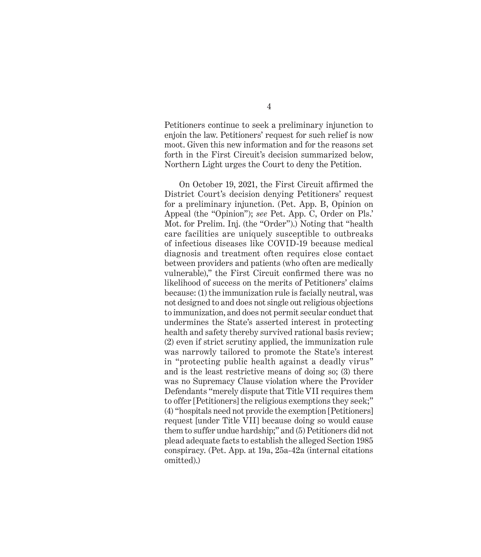Petitioners continue to seek a preliminary injunction to enjoin the law. Petitioners' request for such relief is now moot. Given this new information and for the reasons set forth in the First Circuit's decision summarized below, Northern Light urges the Court to deny the Petition.

On October 19, 2021, the First Circuit affirmed the District Court's decision denying Petitioners' request for a preliminary injunction. (Pet. App. B, Opinion on Appeal (the "Opinion"); *see* Pet. App. C, Order on Pls.' Mot. for Prelim. Inj. (the "Order").) Noting that "health care facilities are uniquely susceptible to outbreaks of infectious diseases like COVID-19 because medical diagnosis and treatment often requires close contact between providers and patients (who often are medically vulnerable)," the First Circuit confirmed there was no likelihood of success on the merits of Petitioners' claims because: (1) the immunization rule is facially neutral, was not designed to and does not single out religious objections to immunization, and does not permit secular conduct that undermines the State's asserted interest in protecting health and safety thereby survived rational basis review; (2) even if strict scrutiny applied, the immunization rule was narrowly tailored to promote the State's interest in "protecting public health against a deadly virus" and is the least restrictive means of doing so; (3) there was no Supremacy Clause violation where the Provider Defendants "merely dispute that Title VII requires them to offer [Petitioners] the religious exemptions they seek;" (4) "hospitals need not provide the exemption [Petitioners] request [under Title VII] because doing so would cause them to suffer undue hardship;" and (5) Petitioners did not plead adequate facts to establish the alleged Section 1985 conspiracy. (Pet. App. at 19a, 25a-42a (internal citations omitted).)

4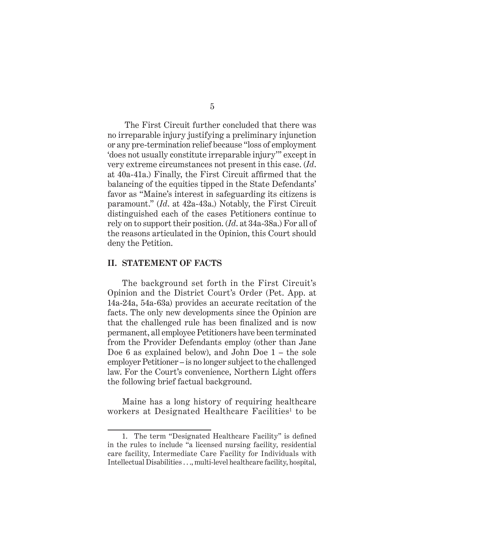The First Circuit further concluded that there was no irreparable injury justifying a preliminary injunction or any pre-termination relief because "loss of employment 'does not usually constitute irreparable injury'" except in very extreme circumstances not present in this case. (*Id*. at 40a-41a.) Finally, the First Circuit affirmed that the balancing of the equities tipped in the State Defendants' favor as "Maine's interest in safeguarding its citizens is paramount." (*Id*. at 42a-43a.) Notably, the First Circuit distinguished each of the cases Petitioners continue to rely on to support their position. (*Id*. at 34a-38a.) For all of the reasons articulated in the Opinion, this Court should deny the Petition.

#### **II. STATEMENT OF FACTS**

The background set forth in the First Circuit's Opinion and the District Court's Order (Pet. App. at 14a-24a, 54a-63a) provides an accurate recitation of the facts. The only new developments since the Opinion are that the challenged rule has been finalized and is now permanent, all employee Petitioners have been terminated from the Provider Defendants employ (other than Jane Doe 6 as explained below), and John Doe 1 – the sole employer Petitioner – is no longer subject to the challenged law. For the Court's convenience, Northern Light offers the following brief factual background.

Maine has a long history of requiring healthcare workers at Designated Healthcare Facilities<sup>1</sup> to be

<sup>1.</sup> The term "Designated Healthcare Facility" is defined in the rules to include "a licensed nursing facility, residential care facility, Intermediate Care Facility for Individuals with Intellectual Disabilities . . ., multi-level healthcare facility, hospital,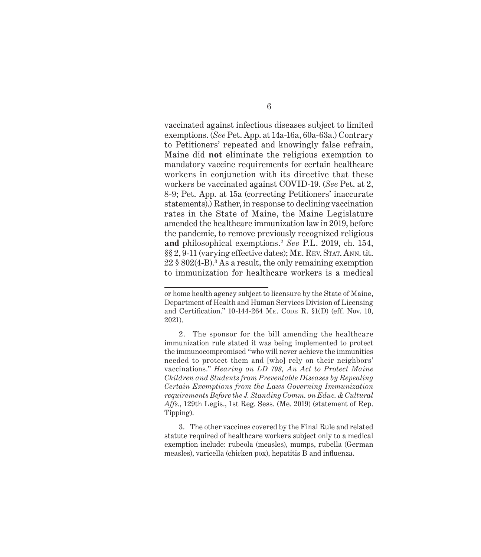vaccinated against infectious diseases subject to limited exemptions. (*See* Pet. App. at 14a-16a, 60a-63a.) Contrary to Petitioners' repeated and knowingly false refrain, Maine did **not** eliminate the religious exemption to mandatory vaccine requirements for certain healthcare workers in conjunction with its directive that these workers be vaccinated against COVID-19. (*See* Pet. at 2, 8-9; Pet. App. at 15a (correcting Petitioners' inaccurate statements).) Rather, in response to declining vaccination rates in the State of Maine, the Maine Legislature amended the healthcare immunization law in 2019, before the pandemic, to remove previously recognized religious **and** philosophical exemptions.<sup>2</sup> *See* P.L. 2019, ch. 154, §§ 2, 9-11 (varying effective dates); ME. REV. STAT. ANN. tit. 22 § 802(4-B).<sup>3</sup> As a result, the only remaining exemption to immunization for healthcare workers is a medical

or home health agency subject to licensure by the State of Maine, Department of Health and Human Services Division of Licensing and Certification."  $10-144-264$  ME. Code R.  $\S1(D)$  (eff. Nov. 10, 2021).

<sup>2.</sup> The sponsor for the bill amending the healthcare immunization rule stated it was being implemented to protect the immunocompromised "who will never achieve the immunities needed to protect them and [who] rely on their neighbors' vaccinations." *Hearing on LD 798, An Act to Protect Maine Children and Students from Preventable Diseases by Repealing Certain Exemptions from the Laws Governing Immunization requirements Before the J. Standing Comm. on Educ. & Cultural Affs*., 129th Legis., 1st Reg. Sess. (Me. 2019) (statement of Rep. Tipping).

<sup>3.</sup> The other vaccines covered by the Final Rule and related statute required of healthcare workers subject only to a medical exemption include: rubeola (measles), mumps, rubella (German measles), varicella (chicken pox), hepatitis B and influenza.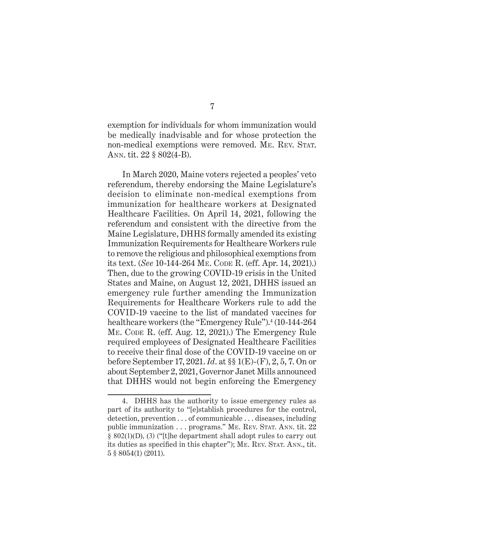exemption for individuals for whom immunization would be medically inadvisable and for whose protection the non-medical exemptions were removed. ME. REV. STAT. Ann. tit. 22 § 802(4-B).

In March 2020, Maine voters rejected a peoples' veto referendum, thereby endorsing the Maine Legislature's decision to eliminate non-medical exemptions from immunization for healthcare workers at Designated Healthcare Facilities. On April 14, 2021, following the referendum and consistent with the directive from the Maine Legislature, DHHS formally amended its existing Immunization Requirements for Healthcare Workers rule to remove the religious and philosophical exemptions from its text. (*See* 10-144-264 Me. Code R. (eff. Apr. 14, 2021).) Then, due to the growing COVID-19 crisis in the United States and Maine, on August 12, 2021, DHHS issued an emergency rule further amending the Immunization Requirements for Healthcare Workers rule to add the COVID-19 vaccine to the list of mandated vaccines for healthcare workers (the "Emergency Rule").<sup>4</sup> (10-144-264 ME. CODE R. (eff. Aug. 12, 2021).) The Emergency Rule required employees of Designated Healthcare Facilities to receive their final dose of the COVID-19 vaccine on or before September 17, 2021. *Id*. at §§ 1(E)-(F), 2, 5, 7. On or about September 2, 2021, Governor Janet Mills announced that DHHS would not begin enforcing the Emergency

<sup>4.</sup> DHHS has the authority to issue emergency rules as part of its authority to "[e]stablish procedures for the control, detection, prevention . . . of communicable . . . diseases, including public immunization  $\ldots$  programs." ME. REV. STAT. ANN. tit. 22 § 802(1)(D), (3) ("[t]he department shall adopt rules to carry out its duties as specified in this chapter"); ME. REV. STAT. ANN., tit. 5 § 8054(1) (2011).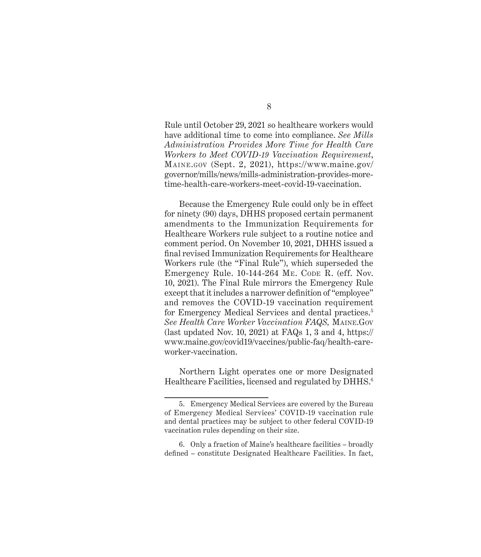Rule until October 29, 2021 so healthcare workers would have additional time to come into compliance. *See Mills Administration Provides More Time for Health Care Workers to Meet COVID-19 Vaccination Requirement*, Maine.gov (Sept. 2, 2021), https://www.maine.gov/ governor/mills/news/mills-administration-provides-moretime-health-care-workers-meet-covid-19-vaccination.

Because the Emergency Rule could only be in effect for ninety (90) days, DHHS proposed certain permanent amendments to the Immunization Requirements for Healthcare Workers rule subject to a routine notice and comment period. On November 10, 2021, DHHS issued a final revised Immunization Requirements for Healthcare Workers rule (the "Final Rule"), which superseded the Emergency Rule. 10-144-264 ME. CODE R. (eff. Nov. 10, 2021). The Final Rule mirrors the Emergency Rule except that it includes a narrower definition of "employee" and removes the COVID-19 vaccination requirement for Emergency Medical Services and dental practices.5 *See Health Care Worker Vaccination FAQS,* Maine.Gov (last updated Nov. 10, 2021) at FAQs 1, 3 and 4, https:// www.maine.gov/covid19/vaccines/public-faq/health-careworker-vaccination.

Northern Light operates one or more Designated Healthcare Facilities, licensed and regulated by DHHS.<sup>6</sup>

<sup>5.</sup> Emergency Medical Services are covered by the Bureau of Emergency Medical Services' COVID-19 vaccination rule and dental practices may be subject to other federal COVID-19 vaccination rules depending on their size.

<sup>6.</sup> Only a fraction of Maine's healthcare facilities – broadly defined – constitute Designated Healthcare Facilities. In fact,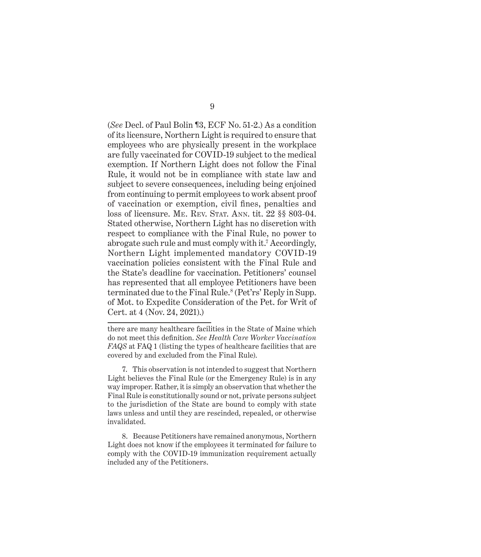(*See* Decl. of Paul Bolin ¶3, ECF No. 51-2.) As a condition of its licensure, Northern Light is required to ensure that employees who are physically present in the workplace are fully vaccinated for COVID-19 subject to the medical exemption. If Northern Light does not follow the Final Rule, it would not be in compliance with state law and subject to severe consequences, including being enjoined from continuing to permit employees to work absent proof of vaccination or exemption, civil fines, penalties and loss of licensure. ME. REV. STAT. ANN. tit. 22 §§ 803-04. Stated otherwise, Northern Light has no discretion with respect to compliance with the Final Rule, no power to abrogate such rule and must comply with it.<sup>7</sup> Accordingly, Northern Light implemented mandatory COVID-19 vaccination policies consistent with the Final Rule and the State's deadline for vaccination. Petitioners' counsel has represented that all employee Petitioners have been terminated due to the Final Rule.<sup>8</sup> (Pet'rs' Reply in Supp. of Mot. to Expedite Consideration of the Pet. for Writ of Cert. at 4 (Nov. 24, 2021).)

there are many healthcare facilities in the State of Maine which do not meet this definition. *See Health Care Worker Vaccination FAQS* at FAQ 1 (listing the types of healthcare facilities that are covered by and excluded from the Final Rule).

<sup>7.</sup> This observation is not intended to suggest that Northern Light believes the Final Rule (or the Emergency Rule) is in any way improper. Rather, it is simply an observation that whether the Final Rule is constitutionally sound or not, private persons subject to the jurisdiction of the State are bound to comply with state laws unless and until they are rescinded, repealed, or otherwise invalidated.

<sup>8.</sup> Because Petitioners have remained anonymous, Northern Light does not know if the employees it terminated for failure to comply with the COVID-19 immunization requirement actually included any of the Petitioners.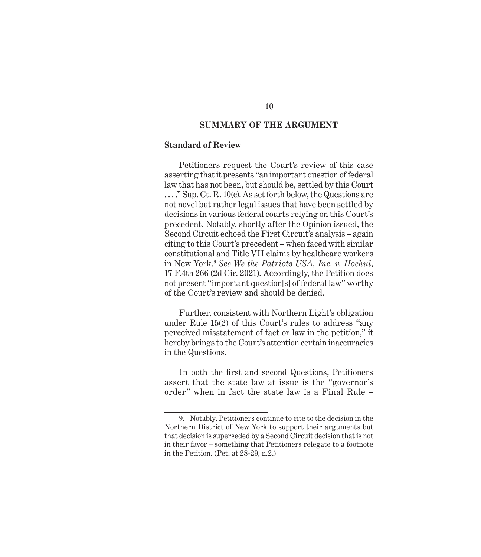### **SUMMARY OF THE ARGUMENT**

#### **Standard of Review**

Petitioners request the Court's review of this case asserting that it presents "an important question of federal law that has not been, but should be, settled by this Court . . . ." Sup. Ct. R. 10(c). As set forth below, the Questions are not novel but rather legal issues that have been settled by decisions in various federal courts relying on this Court's precedent. Notably, shortly after the Opinion issued, the Second Circuit echoed the First Circuit's analysis – again citing to this Court's precedent – when faced with similar constitutional and Title VII claims by healthcare workers in New York.9 *See We the Patriots USA, Inc. v. Hochul*, 17 F.4th 266 (2d Cir. 2021). Accordingly, the Petition does not present "important question[s] of federal law" worthy of the Court's review and should be denied.

Further, consistent with Northern Light's obligation under Rule 15(2) of this Court's rules to address "any perceived misstatement of fact or law in the petition," it hereby brings to the Court's attention certain inaccuracies in the Questions.

In both the first and second Questions, Petitioners assert that the state law at issue is the "governor's order" when in fact the state law is a Final Rule –

<sup>9.</sup> Notably, Petitioners continue to cite to the decision in the Northern District of New York to support their arguments but that decision is superseded by a Second Circuit decision that is not in their favor – something that Petitioners relegate to a footnote in the Petition. (Pet. at 28-29, n.2.)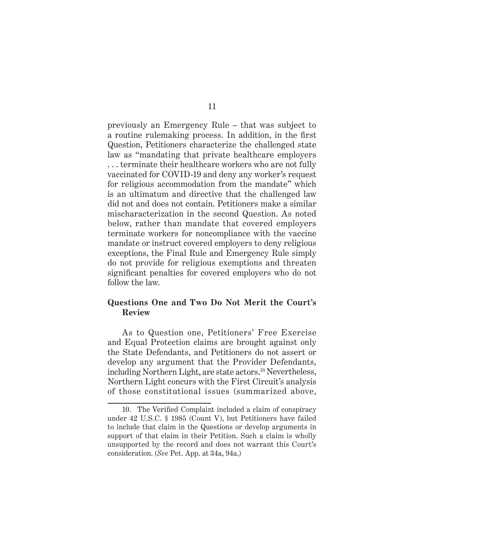previously an Emergency Rule – that was subject to a routine rulemaking process. In addition, in the first Question, Petitioners characterize the challenged state law as "mandating that private healthcare employers . . . terminate their healthcare workers who are not fully vaccinated for COVID-19 and deny any worker's request for religious accommodation from the mandate" which is an ultimatum and directive that the challenged law did not and does not contain. Petitioners make a similar mischaracterization in the second Question. As noted below, rather than mandate that covered employers terminate workers for noncompliance with the vaccine mandate or instruct covered employers to deny religious exceptions, the Final Rule and Emergency Rule simply do not provide for religious exemptions and threaten significant penalties for covered employers who do not follow the law.

### **Questions One and Two Do Not Merit the Court's Review**

As to Question one, Petitioners' Free Exercise and Equal Protection claims are brought against only the State Defendants, and Petitioners do not assert or develop any argument that the Provider Defendants, including Northern Light, are state actors.<sup>10</sup> Nevertheless, Northern Light concurs with the First Circuit's analysis of those constitutional issues (summarized above,

### 11

<sup>10.</sup> The Verified Complaint included a claim of conspiracy under 42 U.S.C. § 1985 (Count V), but Petitioners have failed to include that claim in the Questions or develop arguments in support of that claim in their Petition. Such a claim is wholly unsupported by the record and does not warrant this Court's consideration. (*See* Pet. App. at 34a, 94a.)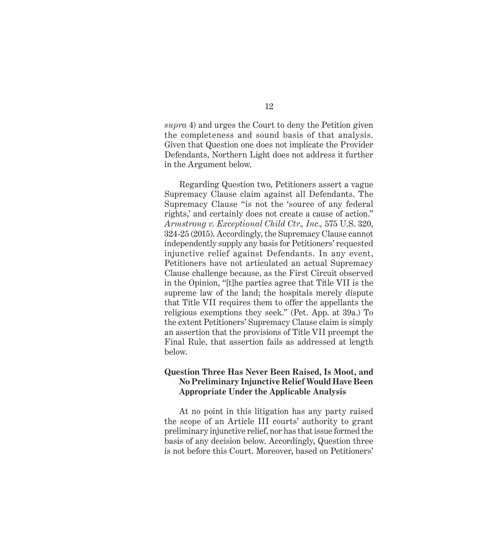*supra* 4) and urges the Court to deny the Petition given the completeness and sound basis of that analysis. Given that Question one does not implicate the Provider Defendants, Northern Light does not address it further in the Argument below.

Regarding Question two, Petitioners assert a vague Supremacy Clause claim against all Defendants. The Supremacy Clause "is not the 'source of any federal rights,' and certainly does not create a cause of action." *Armstrong v. Exceptional Child Ctr., Inc.,* 575 U.S. 320, 324-25 (2015). Accordingly, the Supremacy Clause cannot independently supply any basis for Petitioners' requested injunctive relief against Defendants. In any event, Petitioners have not articulated an actual Supremacy Clause challenge because, as the First Circuit observed in the Opinion, "[t]he parties agree that Title VII is the supreme law of the land; the hospitals merely dispute that Title VII requires them to offer the appellants the religious exemptions they seek." (Pet. App. at 39a.) To the extent Petitioners' Supremacy Clause claim is simply an assertion that the provisions of Title VII preempt the Final Rule, that assertion fails as addressed at length below.

### **Question Three Has Never Been Raised, Is Moot, and No Preliminary Injunctive Relief Would Have Been Appropriate Under the Applicable Analysis**

At no point in this litigation has any party raised the scope of an Article III courts' authority to grant preliminary injunctive relief, nor has that issue formed the basis of any decision below. Accordingly, Question three is not before this Court. Moreover, based on Petitioners'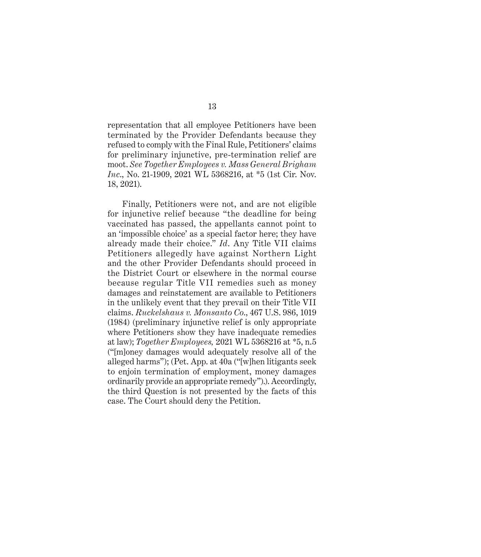representation that all employee Petitioners have been terminated by the Provider Defendants because they refused to comply with the Final Rule, Petitioners' claims for preliminary injunctive, pre-termination relief are moot. *See Together Employees v. Mass General Brigham Inc*., No. 21-1909, 2021 WL 5368216, at \*5 (1st Cir. Nov. 18, 2021).

Finally, Petitioners were not, and are not eligible for injunctive relief because "the deadline for being vaccinated has passed, the appellants cannot point to an 'impossible choice' as a special factor here; they have already made their choice." *Id*. Any Title VII claims Petitioners allegedly have against Northern Light and the other Provider Defendants should proceed in the District Court or elsewhere in the normal course because regular Title VII remedies such as money damages and reinstatement are available to Petitioners in the unlikely event that they prevail on their Title VII claims. *Ruckelshaus v. Monsanto Co*., 467 U.S. 986, 1019 (1984) (preliminary injunctive relief is only appropriate where Petitioners show they have inadequate remedies at law); *Together Employees,* 2021 WL 5368216 at \*5, n.5 ("[m]oney damages would adequately resolve all of the alleged harms"); (Pet. App. at 40a ("[w]hen litigants seek to enjoin termination of employment, money damages ordinarily provide an appropriate remedy").). Accordingly, the third Question is not presented by the facts of this case. The Court should deny the Petition.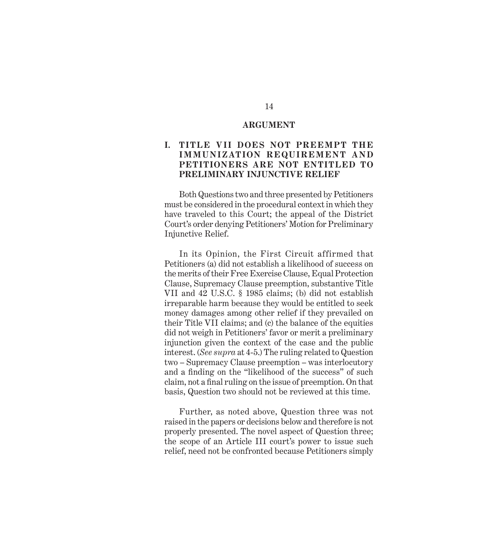#### **ARGUMENT**

### **I. TIT LE VII DOES NOT PREEMPT THE IMMUNIZATION REQUIREMENT AND PETITIONERS ARE NOT ENTITLED TO PRELIMINARY INJUNCTIVE RELIEF**

Both Questions two and three presented by Petitioners must be considered in the procedural context in which they have traveled to this Court; the appeal of the District Court's order denying Petitioners' Motion for Preliminary Injunctive Relief.

In its Opinion, the First Circuit affirmed that Petitioners (a) did not establish a likelihood of success on the merits of their Free Exercise Clause, Equal Protection Clause, Supremacy Clause preemption, substantive Title VII and 42 U.S.C. § 1985 claims; (b) did not establish irreparable harm because they would be entitled to seek money damages among other relief if they prevailed on their Title VII claims; and (c) the balance of the equities did not weigh in Petitioners' favor or merit a preliminary injunction given the context of the case and the public interest. (*See supra* at 4-5.) The ruling related to Question two – Supremacy Clause preemption – was interlocutory and a finding on the "likelihood of the success" of such claim, not a final ruling on the issue of preemption. On that basis, Question two should not be reviewed at this time.

Further, as noted above, Question three was not raised in the papers or decisions below and therefore is not properly presented. The novel aspect of Question three; the scope of an Article III court's power to issue such relief, need not be confronted because Petitioners simply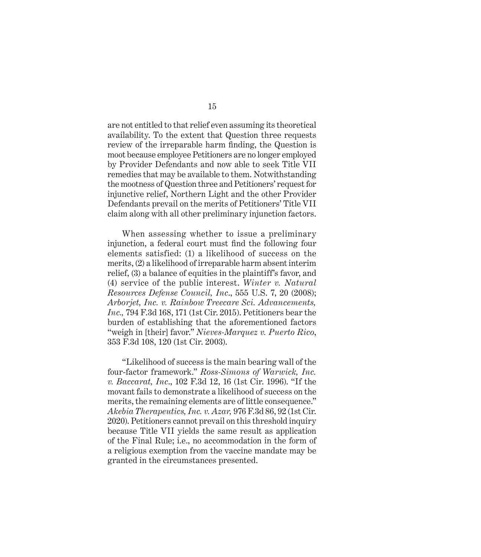are not entitled to that relief even assuming its theoretical availability. To the extent that Question three requests review of the irreparable harm finding, the Question is moot because employee Petitioners are no longer employed by Provider Defendants and now able to seek Title VII remedies that may be available to them. Notwithstanding the mootness of Question three and Petitioners' request for injunctive relief, Northern Light and the other Provider Defendants prevail on the merits of Petitioners' Title VII claim along with all other preliminary injunction factors.

When assessing whether to issue a preliminary injunction, a federal court must find the following four elements satisfied: (1) a likelihood of success on the merits, (2) a likelihood of irreparable harm absent interim relief, (3) a balance of equities in the plaintiff's favor, and (4) service of the public interest. *Winter v. Natural Resources Defense Council, Inc*., 555 U.S. 7, 20 (2008); *Arborjet, Inc. v. Rainbow Treecare Sci. Advancements, Inc.,* 794 F.3d 168, 171 (1st Cir. 2015). Petitioners bear the burden of establishing that the aforementioned factors "weigh in [their] favor." *Nieves-Marquez v. Puerto Rico*, 353 F.3d 108, 120 (1st Cir. 2003).

"Likelihood of success is the main bearing wall of the four-factor framework." *Ross-Simons of Warwick, Inc. v. Baccarat, Inc*., 102 F.3d 12, 16 (1st Cir. 1996). "If the movant fails to demonstrate a likelihood of success on the merits, the remaining elements are of little consequence." *Akebia Therapeutics, Inc. v. Azar,* 976 F.3d 86, 92 (1st Cir. 2020). Petitioners cannot prevail on this threshold inquiry because Title VII yields the same result as application of the Final Rule; i.e., no accommodation in the form of a religious exemption from the vaccine mandate may be granted in the circumstances presented.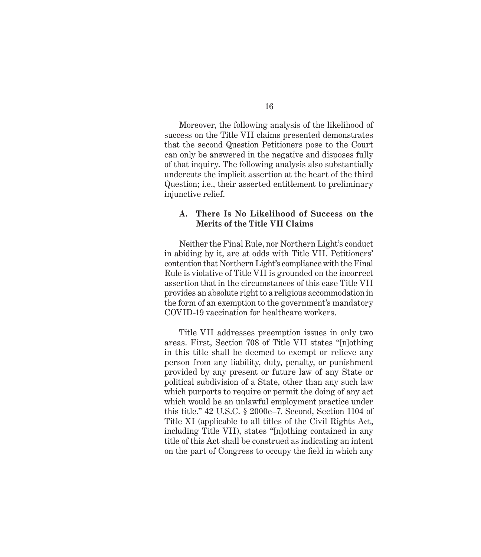Moreover, the following analysis of the likelihood of success on the Title VII claims presented demonstrates that the second Question Petitioners pose to the Court can only be answered in the negative and disposes fully of that inquiry. The following analysis also substantially undercuts the implicit assertion at the heart of the third Question; i.e., their asserted entitlement to preliminary injunctive relief.

### **A. There Is No Likelihood of Success on the Merits of the Title VII Claims**

Neither the Final Rule, nor Northern Light's conduct in abiding by it, are at odds with Title VII. Petitioners' contention that Northern Light's compliance with the Final Rule is violative of Title VII is grounded on the incorrect assertion that in the circumstances of this case Title VII provides an absolute right to a religious accommodation in the form of an exemption to the government's mandatory COVID-19 vaccination for healthcare workers.

Title VII addresses preemption issues in only two areas. First, Section 708 of Title VII states "[n]othing in this title shall be deemed to exempt or relieve any person from any liability, duty, penalty, or punishment provided by any present or future law of any State or political subdivision of a State, other than any such law which purports to require or permit the doing of any act which would be an unlawful employment practice under this title." 42 U.S.C. § 2000e–7. Second, Section 1104 of Title XI (applicable to all titles of the Civil Rights Act, including Title VII), states "[n]othing contained in any title of this Act shall be construed as indicating an intent on the part of Congress to occupy the field in which any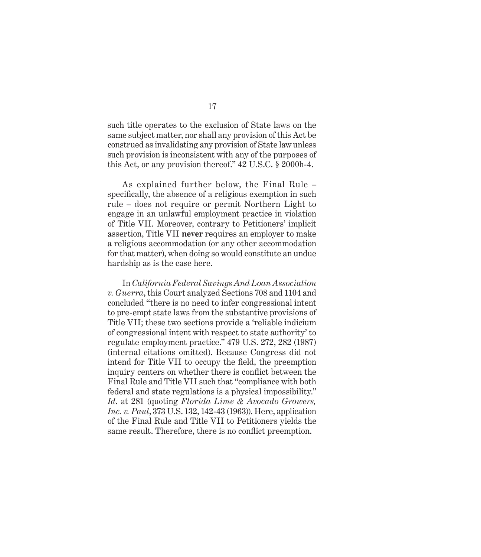such title operates to the exclusion of State laws on the same subject matter, nor shall any provision of this Act be construed as invalidating any provision of State law unless such provision is inconsistent with any of the purposes of this Act, or any provision thereof." 42 U.S.C. § 2000h-4.

As explained further below, the Final Rule – specifically, the absence of a religious exemption in such rule – does not require or permit Northern Light to engage in an unlawful employment practice in violation of Title VII. Moreover, contrary to Petitioners' implicit assertion, Title VII **never** requires an employer to make a religious accommodation (or any other accommodation for that matter), when doing so would constitute an undue hardship as is the case here.

In *California Federal Savings And Loan Association v. Guerra*, this Court analyzed Sections 708 and 1104 and concluded "there is no need to infer congressional intent to pre-empt state laws from the substantive provisions of Title VII; these two sections provide a 'reliable indicium of congressional intent with respect to state authority' to regulate employment practice." 479 U.S. 272, 282 (1987) (internal citations omitted). Because Congress did not intend for Title VII to occupy the field, the preemption inquiry centers on whether there is conflict between the Final Rule and Title VII such that "compliance with both federal and state regulations is a physical impossibility." *Id*. at 281 (quoting *Florida Lime & Avocado Growers, Inc. v. Paul*, 373 U.S. 132, 142-43 (1963)). Here, application of the Final Rule and Title VII to Petitioners yields the same result. Therefore, there is no conflict preemption.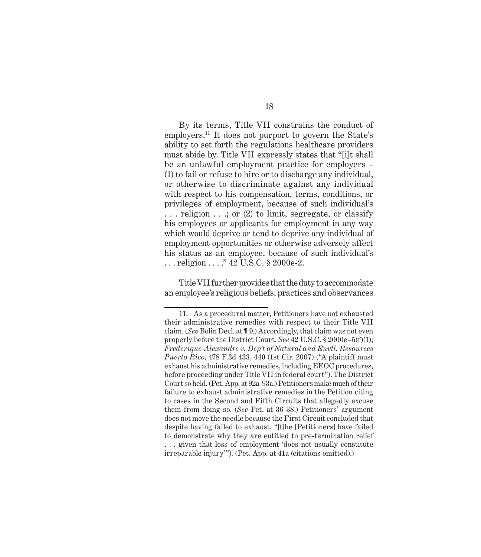By its terms, Title VII constrains the conduct of employers.11 It does not purport to govern the State's ability to set forth the regulations healthcare providers must abide by. Title VII expressly states that "[i]t shall be an unlawful employment practice for employers – (1) to fail or refuse to hire or to discharge any individual, or otherwise to discriminate against any individual with respect to his compensation, terms, conditions, or privileges of employment, because of such individual's ... religion ...; or (2) to limit, segregate, or classify his employees or applicants for employment in any way which would deprive or tend to deprive any individual of employment opportunities or otherwise adversely affect his status as an employee, because of such individual's ... religion ...." 42 U.S.C. § 2000e-2.

Title VII further provides that the duty to accommodate an employee's religious beliefs, practices and observances

<sup>11.</sup> As a procedural matter, Petitioners have not exhausted their administrative remedies with respect to their Title VII claim. (*See* Bolin Decl. at ¶ 9.) Accordingly, that claim was not even properly before the District Court. *See* 42 U.S.C. § 2000e–5(f)(1); *Frederique-Alexandre v. Dep't of Natural and Envtl. Resources Puerto Rico*, 478 F.3d 433, 440 (1st Cir. 2007) ("A plaintiff must exhaust his administrative remedies, including EEOC procedures, before proceeding under Title VII in federal court"). The District Court so held. (Pet. App. at 92a-93a.) Petitioners make much of their failure to exhaust administrative remedies in the Petition citing to cases in the Second and Fifth Circuits that allegedly excuse them from doing so. (*See* Pet. at 36-38.) Petitioners' argument does not move the needle because the First Circuit concluded that despite having failed to exhaust, "[t]he [Petitioners] have failed to demonstrate why they are entitled to pre-termination relief . . . given that loss of employment 'does not usually constitute irreparable injury'"). (Pet. App. at 41a (citations omitted).)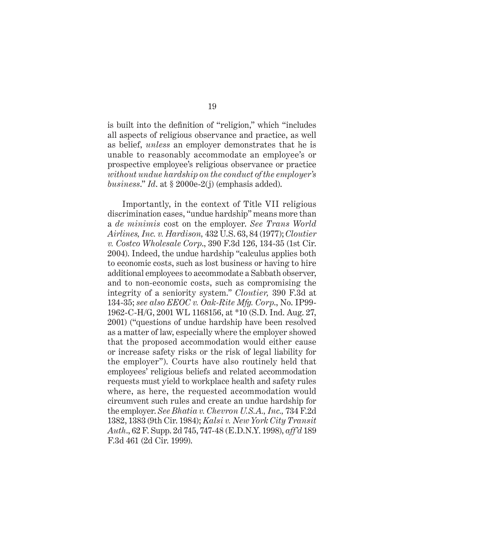is built into the definition of "religion," which "includes all aspects of religious observance and practice, as well as belief, *unless* an employer demonstrates that he is unable to reasonably accommodate an employee's or prospective employee's religious observance or practice *without undue hardship on the conduct of the employer's business*." *Id*. at § 2000e-2(j) (emphasis added).

Importantly, in the context of Title VII religious discrimination cases, "undue hardship" means more than a *de minimis* cost on the employer. *See Trans World Airlines, Inc. v. Hardison,* 432 U.S. 63, 84 (1977); *Cloutier v. Costco Wholesale Corp*., 390 F.3d 126, 134-35 (1st Cir. 2004). Indeed, the undue hardship "calculus applies both to economic costs, such as lost business or having to hire additional employees to accommodate a Sabbath observer, and to non-economic costs, such as compromising the integrity of a seniority system." *Cloutier,* 390 F.3d at 134-35; *see also EEOC v. Oak-Rite Mfg. Corp*., No. IP99- 1962-C-H/G, 2001 WL 1168156, at \*10 (S.D. Ind. Aug. 27, 2001) ("questions of undue hardship have been resolved as a matter of law, especially where the employer showed that the proposed accommodation would either cause or increase safety risks or the risk of legal liability for the employer"). Courts have also routinely held that employees' religious beliefs and related accommodation requests must yield to workplace health and safety rules where, as here, the requested accommodation would circumvent such rules and create an undue hardship for the employer. *See Bhatia v. Chevron U.S.A., Inc.,* 734 F.2d 1382, 1383 (9th Cir. 1984); *Kalsi v. New York City Transit Auth*., 62 F. Supp. 2d 745, 747-48 (E.D.N.Y. 1998), *aff'd* 189 F.3d 461 (2d Cir. 1999).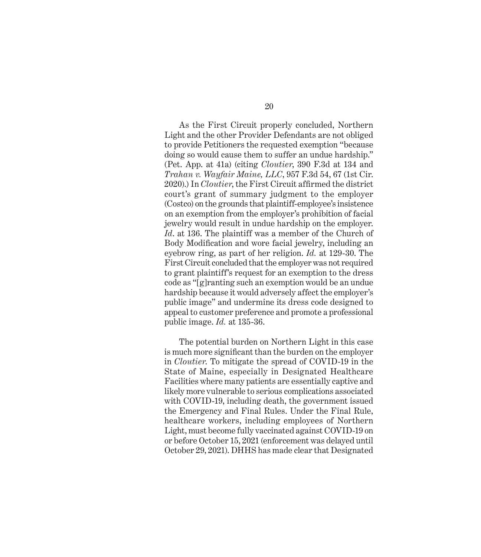As the First Circuit properly concluded, Northern Light and the other Provider Defendants are not obliged to provide Petitioners the requested exemption "because doing so would cause them to suffer an undue hardship." (Pet. App. at 41a) (citing *Cloutier*, 390 F.3d at 134 and *Trahan v. Wayfair Maine, LLC*, 957 F.3d 54, 67 (1st Cir. 2020).) In *Cloutier*, the First Circuit affirmed the district court's grant of summary judgment to the employer (Costco) on the grounds that plaintiff-employee's insistence on an exemption from the employer's prohibition of facial jewelry would result in undue hardship on the employer. *Id*. at 136. The plaintiff was a member of the Church of Body Modification and wore facial jewelry, including an eyebrow ring, as part of her religion. *Id.* at 129-30. The First Circuit concluded that the employer was not required to grant plaintiff's request for an exemption to the dress code as "[g]ranting such an exemption would be an undue hardship because it would adversely affect the employer's public image" and undermine its dress code designed to appeal to customer preference and promote a professional public image. *Id.* at 135-36.

The potential burden on Northern Light in this case is much more significant than the burden on the employer in *Cloutier*. To mitigate the spread of COVID-19 in the State of Maine, especially in Designated Healthcare Facilities where many patients are essentially captive and likely more vulnerable to serious complications associated with COVID-19, including death, the government issued the Emergency and Final Rules. Under the Final Rule, healthcare workers, including employees of Northern Light, must become fully vaccinated against COVID-19 on or before October 15, 2021 (enforcement was delayed until October 29, 2021). DHHS has made clear that Designated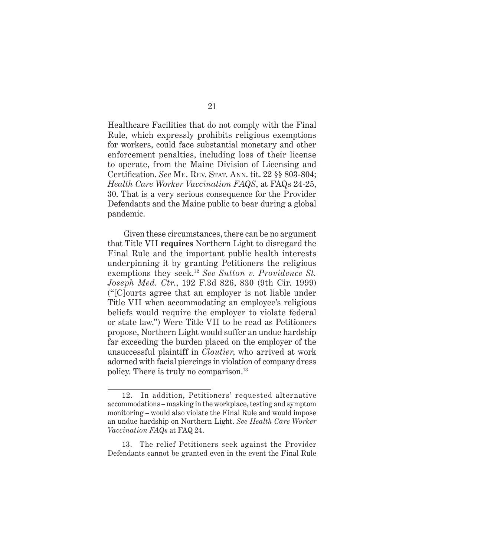Healthcare Facilities that do not comply with the Final Rule, which expressly prohibits religious exemptions for workers, could face substantial monetary and other enforcement penalties, including loss of their license to operate, from the Maine Division of Licensing and Certification. *See* Me. Rev. Stat. Ann. tit. 22 §§ 803-804; *Health Care Worker Vaccination FAQS*, at FAQs 24-25, 30. That is a very serious consequence for the Provider Defendants and the Maine public to bear during a global pandemic.

 Given these circumstances, there can be no argument that Title VII **requires** Northern Light to disregard the Final Rule and the important public health interests underpinning it by granting Petitioners the religious exemptions they seek.<sup>12</sup> *See Sutton v. Providence St. Joseph Med. Ctr*., 192 F.3d 826, 830 (9th Cir. 1999) ("[C]ourts agree that an employer is not liable under Title VII when accommodating an employee's religious beliefs would require the employer to violate federal or state law.") Were Title VII to be read as Petitioners propose, Northern Light would suffer an undue hardship far exceeding the burden placed on the employer of the unsuccessful plaintiff in *Cloutier*, who arrived at work adorned with facial piercings in violation of company dress policy. There is truly no comparison.<sup>13</sup>

13. The relief Petitioners seek against the Provider Defendants cannot be granted even in the event the Final Rule

<sup>12.</sup> In addition, Petitioners' requested alternative accommodations – masking in the workplace, testing and symptom monitoring – would also violate the Final Rule and would impose an undue hardship on Northern Light. *See Health Care Worker Vaccination FAQs* at FAQ 24.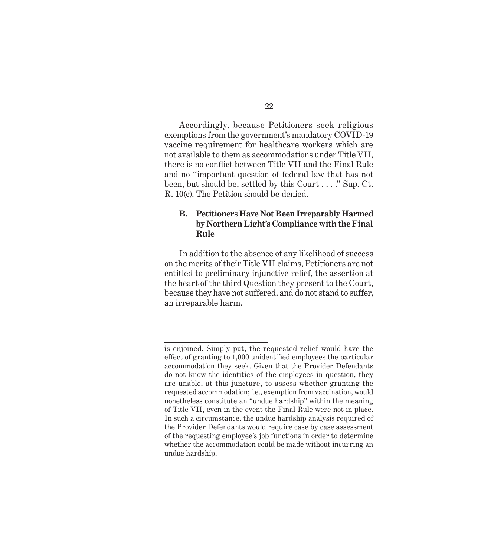Accordingly, because Petitioners seek religious exemptions from the government's mandatory COVID-19 vaccine requirement for healthcare workers which are not available to them as accommodations under Title VII, there is no conflict between Title VII and the Final Rule and no "important question of federal law that has not been, but should be, settled by this Court . . . ." Sup. Ct. R. 10(c). The Petition should be denied.

### **B. Petitioners Have Not Been Irreparably Harmed by Northern Light's Compliance with the Final Rule**

In addition to the absence of any likelihood of success on the merits of their Title VII claims, Petitioners are not entitled to preliminary injunctive relief, the assertion at the heart of the third Question they present to the Court, because they have not suffered, and do not stand to suffer, an irreparable harm.

is enjoined. Simply put, the requested relief would have the effect of granting to 1,000 unidentified employees the particular accommodation they seek. Given that the Provider Defendants do not know the identities of the employees in question, they are unable, at this juncture, to assess whether granting the requested accommodation; i.e., exemption from vaccination, would nonetheless constitute an "undue hardship" within the meaning of Title VII, even in the event the Final Rule were not in place. In such a circumstance, the undue hardship analysis required of the Provider Defendants would require case by case assessment of the requesting employee's job functions in order to determine whether the accommodation could be made without incurring an undue hardship.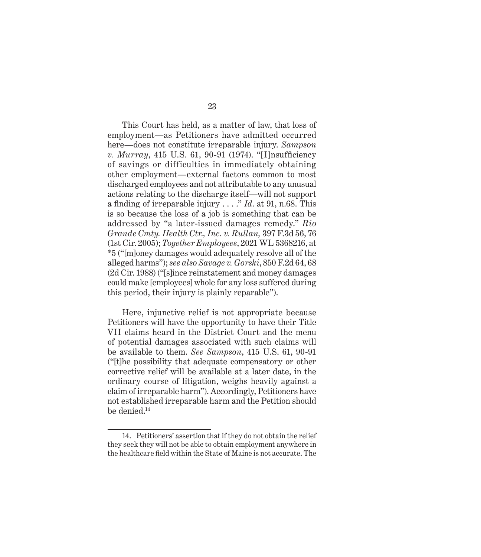This Court has held, as a matter of law, that loss of employment—as Petitioners have admitted occurred here—does not constitute irreparable injury. *Sampson v. Murray*, 415 U.S. 61, 90-91 (1974). "[I]nsufficiency of savings or difficulties in immediately obtaining other employment—external factors common to most discharged employees and not attributable to any unusual actions relating to the discharge itself—will not support a finding of irreparable injury . . . ." *Id*. at 91, n.68. This is so because the loss of a job is something that can be addressed by "a later-issued damages remedy." *Rio Grande Cmty. Health Ctr., Inc. v. Rullan,* 397 F.3d 56, 76 (1st Cir. 2005); *Together Employees*, 2021 WL 5368216, at \*5 ("[m]oney damages would adequately resolve all of the alleged harms"); *see also Savage v. Gorski*, 850 F.2d 64, 68 (2d Cir. 1988) ("[s]ince reinstatement and money damages could make [employees] whole for any loss suffered during this period, their injury is plainly reparable").

Here, injunctive relief is not appropriate because Petitioners will have the opportunity to have their Title VII claims heard in the District Court and the menu of potential damages associated with such claims will be available to them. *See Sampson*, 415 U.S. 61, 90-91 ("[t]he possibility that adequate compensatory or other corrective relief will be available at a later date, in the ordinary course of litigation, weighs heavily against a claim of irreparable harm"). Accordingly, Petitioners have not established irreparable harm and the Petition should be denied.<sup>14</sup>

<sup>14.</sup> Petitioners' assertion that if they do not obtain the relief they seek they will not be able to obtain employment anywhere in the healthcare field within the State of Maine is not accurate. The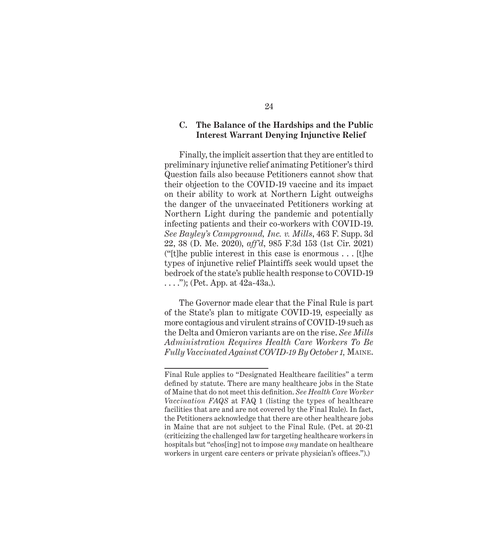#### **C. The Balance of the Hardships and the Public Interest Warrant Denying Injunctive Relief**

Finally, the implicit assertion that they are entitled to preliminary injunctive relief animating Petitioner's third Question fails also because Petitioners cannot show that their objection to the COVID-19 vaccine and its impact on their ability to work at Northern Light outweighs the danger of the unvaccinated Petitioners working at Northern Light during the pandemic and potentially infecting patients and their co-workers with COVID-19. *See Bayley's Campground, Inc. v. Mills*, 463 F. Supp. 3d 22, 38 (D. Me. 2020), *aff'd*, 985 F.3d 153 (1st Cir. 2021) ("[t]he public interest in this case is enormous . . . [t]he types of injunctive relief Plaintiffs seek would upset the bedrock of the state's public health response to COVID-19  $\ldots$ ."); (Pet. App. at 42a-43a.).

The Governor made clear that the Final Rule is part of the State's plan to mitigate COVID-19, especially as more contagious and virulent strains of COVID-19 such as the Delta and Omicron variants are on the rise. *See Mills Administration Requires Health Care Workers To Be Fully Vaccinated Against COVID-19 By October 1,* Maine.

Final Rule applies to "Designated Healthcare facilities" a term defined by statute. There are many healthcare jobs in the State of Maine that do not meet this definition. *See Health Care Worker Vaccination FAQS* at FAQ 1 (listing the types of healthcare facilities that are and are not covered by the Final Rule). In fact, the Petitioners acknowledge that there are other healthcare jobs in Maine that are not subject to the Final Rule. (Pet. at 20-21 (criticizing the challenged law for targeting healthcare workers in hospitals but "chos[ing] not to impose *any* mandate on healthcare workers in urgent care centers or private physician's offices.").)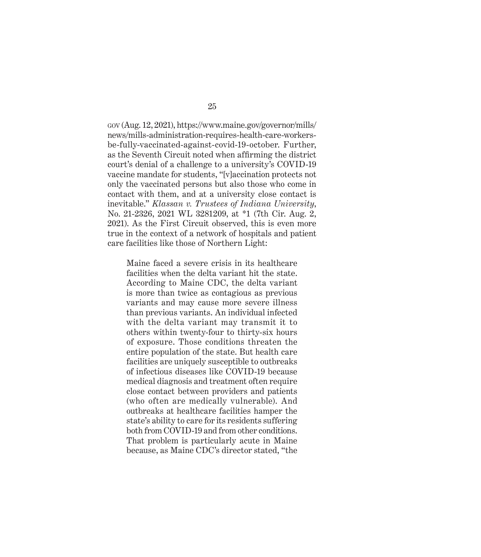gov (Aug. 12, 2021), https://www.maine.gov/governor/mills/ news/mills-administration-requires-health-care-workersbe-fully-vaccinated-against-covid-19-october. Further, as the Seventh Circuit noted when affirming the district court's denial of a challenge to a university's COVID-19 vaccine mandate for students, "[v]accination protects not only the vaccinated persons but also those who come in contact with them, and at a university close contact is inevitable." *Klassan v. Trustees of Indiana University*, No. 21-2326, 2021 WL 3281209, at \*1 (7th Cir. Aug. 2, 2021). As the First Circuit observed, this is even more true in the context of a network of hospitals and patient care facilities like those of Northern Light:

Maine faced a severe crisis in its healthcare facilities when the delta variant hit the state. According to Maine CDC, the delta variant is more than twice as contagious as previous variants and may cause more severe illness than previous variants. An individual infected with the delta variant may transmit it to others within twenty-four to thirty-six hours of exposure. Those conditions threaten the entire population of the state. But health care facilities are uniquely susceptible to outbreaks of infectious diseases like COVID-19 because medical diagnosis and treatment often require close contact between providers and patients (who often are medically vulnerable). And outbreaks at healthcare facilities hamper the state's ability to care for its residents suffering both from COVID-19 and from other conditions. That problem is particularly acute in Maine because, as Maine CDC's director stated, "the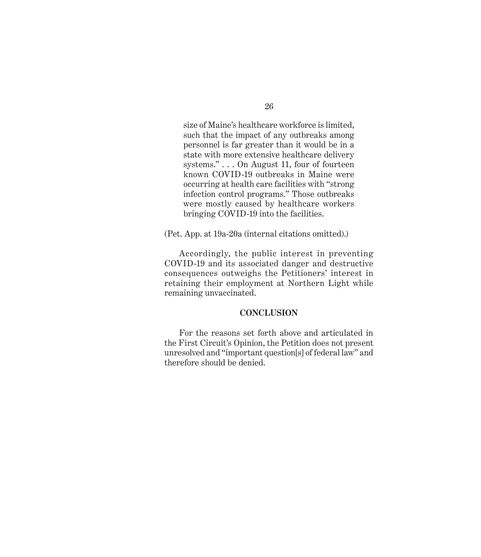size of Maine's healthcare workforce is limited, such that the impact of any outbreaks among personnel is far greater than it would be in a state with more extensive healthcare delivery systems." . . . On August 11, four of fourteen known COVID-19 outbreaks in Maine were occurring at health care facilities with "strong infection control programs." Those outbreaks were mostly caused by healthcare workers bringing COVID-19 into the facilities.

(Pet. App. at 19a-20a (internal citations omitted).)

Accordingly, the public interest in preventing COVID-19 and its associated danger and destructive consequences outweighs the Petitioners' interest in retaining their employment at Northern Light while remaining unvaccinated.

### **CONCLUSION**

For the reasons set forth above and articulated in the First Circuit's Opinion, the Petition does not present unresolved and "important question[s] of federal law" and therefore should be denied.